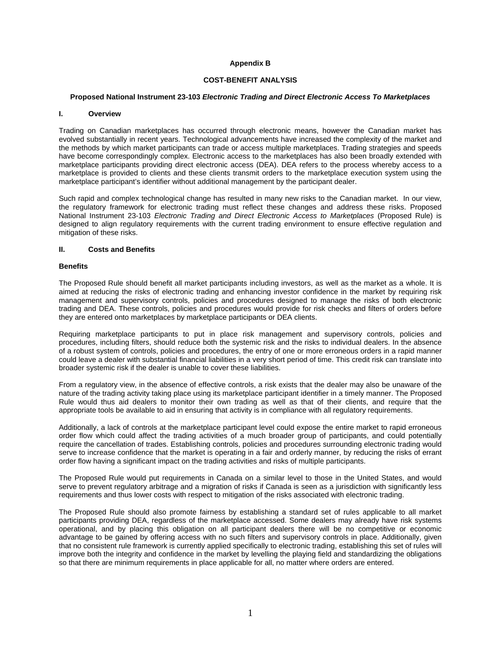## **Appendix B**

## **COST-BENEFIT ANALYSIS**

### **Proposed National Instrument 23-103** *Electronic Trading and Direct Electronic Access To Marketplaces*

#### **I. Overview**

Trading on Canadian marketplaces has occurred through electronic means, however the Canadian market has evolved substantially in recent years. Technological advancements have increased the complexity of the market and the methods by which market participants can trade or access multiple marketplaces. Trading strategies and speeds have become correspondingly complex. Electronic access to the marketplaces has also been broadly extended with marketplace participants providing direct electronic access (DEA). DEA refers to the process whereby access to a marketplace is provided to clients and these clients transmit orders to the marketplace execution system using the marketplace participant's identifier without additional management by the participant dealer.

Such rapid and complex technological change has resulted in many new risks to the Canadian market. In our view, the regulatory framework for electronic trading must reflect these changes and address these risks. Proposed National Instrument 23-103 *Electronic Trading and Direct Electronic Access to Marketplaces* (Proposed Rule) is designed to align regulatory requirements with the current trading environment to ensure effective regulation and mitigation of these risks.

#### **II. Costs and Benefits**

### **Benefits**

The Proposed Rule should benefit all market participants including investors, as well as the market as a whole. It is aimed at reducing the risks of electronic trading and enhancing investor confidence in the market by requiring risk management and supervisory controls, policies and procedures designed to manage the risks of both electronic trading and DEA. These controls, policies and procedures would provide for risk checks and filters of orders before they are entered onto marketplaces by marketplace participants or DEA clients.

Requiring marketplace participants to put in place risk management and supervisory controls, policies and procedures, including filters, should reduce both the systemic risk and the risks to individual dealers. In the absence of a robust system of controls, policies and procedures, the entry of one or more erroneous orders in a rapid manner could leave a dealer with substantial financial liabilities in a very short period of time. This credit risk can translate into broader systemic risk if the dealer is unable to cover these liabilities.

From a regulatory view, in the absence of effective controls, a risk exists that the dealer may also be unaware of the nature of the trading activity taking place using its marketplace participant identifier in a timely manner. The Proposed Rule would thus aid dealers to monitor their own trading as well as that of their clients, and require that the appropriate tools be available to aid in ensuring that activity is in compliance with all regulatory requirements.

Additionally, a lack of controls at the marketplace participant level could expose the entire market to rapid erroneous order flow which could affect the trading activities of a much broader group of participants, and could potentially require the cancellation of trades. Establishing controls, policies and procedures surrounding electronic trading would serve to increase confidence that the market is operating in a fair and orderly manner, by reducing the risks of errant order flow having a significant impact on the trading activities and risks of multiple participants.

The Proposed Rule would put requirements in Canada on a similar level to those in the United States, and would serve to prevent regulatory arbitrage and a migration of risks if Canada is seen as a jurisdiction with significantly less requirements and thus lower costs with respect to mitigation of the risks associated with electronic trading.

The Proposed Rule should also promote fairness by establishing a standard set of rules applicable to all market participants providing DEA, regardless of the marketplace accessed. Some dealers may already have risk systems operational, and by placing this obligation on all participant dealers there will be no competitive or economic advantage to be gained by offering access with no such filters and supervisory controls in place. Additionally, given that no consistent rule framework is currently applied specifically to electronic trading, establishing this set of rules will improve both the integrity and confidence in the market by levelling the playing field and standardizing the obligations so that there are minimum requirements in place applicable for all, no matter where orders are entered.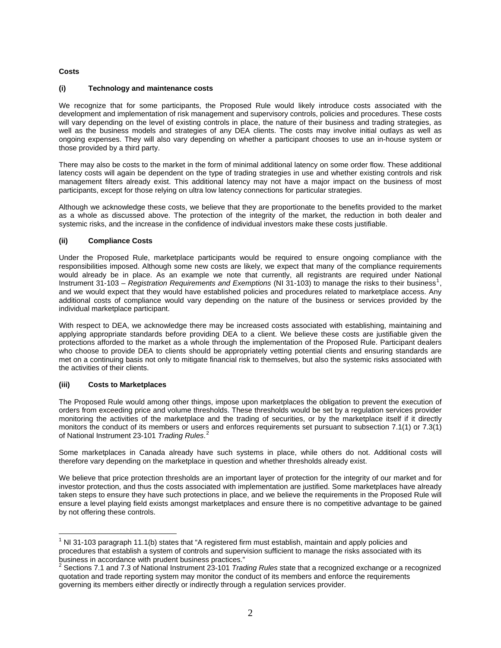## **Costs**

## **(i) Technology and maintenance costs**

We recognize that for some participants, the Proposed Rule would likely introduce costs associated with the development and implementation of risk management and supervisory controls, policies and procedures. These costs will vary depending on the level of existing controls in place, the nature of their business and trading strategies, as well as the business models and strategies of any DEA clients. The costs may involve initial outlays as well as ongoing expenses. They will also vary depending on whether a participant chooses to use an in-house system or those provided by a third party.

There may also be costs to the market in the form of minimal additional latency on some order flow. These additional latency costs will again be dependent on the type of trading strategies in use and whether existing controls and risk management filters already exist. This additional latency may not have a major impact on the business of most participants, except for those relying on ultra low latency connections for particular strategies.

Although we acknowledge these costs, we believe that they are proportionate to the benefits provided to the market as a whole as discussed above. The protection of the integrity of the market, the reduction in both dealer and systemic risks, and the increase in the confidence of individual investors make these costs justifiable.

# **(ii) Compliance Costs**

Under the Proposed Rule, marketplace participants would be required to ensure ongoing compliance with the responsibilities imposed. Although some new costs are likely, we expect that many of the compliance requirements would already be in place. As an example we note that currently, all registrants are required under National Instrument 3[1](#page-1-0)-103 – *Registration Requirements and Exemptions* (NI 31-103) to manage the risks to their business<sup>1</sup>, and we would expect that they would have established policies and procedures related to marketplace access. Any additional costs of compliance would vary depending on the nature of the business or services provided by the individual marketplace participant.

With respect to DEA, we acknowledge there may be increased costs associated with establishing, maintaining and applying appropriate standards before providing DEA to a client. We believe these costs are justifiable given the protections afforded to the market as a whole through the implementation of the Proposed Rule. Participant dealers who choose to provide DEA to clients should be appropriately vetting potential clients and ensuring standards are met on a continuing basis not only to mitigate financial risk to themselves, but also the systemic risks associated with the activities of their clients.

## **(iii) Costs to Marketplaces**

The Proposed Rule would among other things, impose upon marketplaces the obligation to prevent the execution of orders from exceeding price and volume thresholds. These thresholds would be set by a regulation services provider monitoring the activities of the marketplace and the trading of securities, or by the marketplace itself if it directly monitors the conduct of its members or users and enforces requirements set pursuant to subsection 7.1(1) or 7.3(1) of National Instrument 23-101 *Trading Rules*. [2](#page-1-1)

Some marketplaces in Canada already have such systems in place, while others do not. Additional costs will therefore vary depending on the marketplace in question and whether thresholds already exist.

We believe that price protection thresholds are an important layer of protection for the integrity of our market and for investor protection, and thus the costs associated with implementation are justified. Some marketplaces have already taken steps to ensure they have such protections in place, and we believe the requirements in the Proposed Rule will ensure a level playing field exists amongst marketplaces and ensure there is no competitive advantage to be gained by not offering these controls.

<span id="page-1-0"></span> $\overline{a}$  $1$  NI 31-103 paragraph 11.1(b) states that "A registered firm must establish, maintain and apply policies and procedures that establish a system of controls and supervision sufficient to manage the risks associated with its business in accordance with prudent business practices."

<span id="page-1-1"></span><sup>2</sup> Sections 7.1 and 7.3 of National Instrument 23-101 *Trading Rules* state that a recognized exchange or a recognized quotation and trade reporting system may monitor the conduct of its members and enforce the requirements governing its members either directly or indirectly through a regulation services provider.